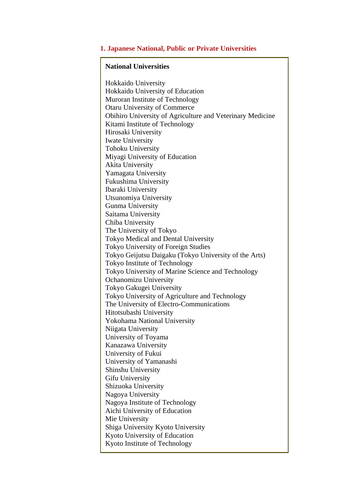## **1. Japanese National, Public or Private Universities**

#### **National Universities**

Hokkaido University Hokkaido University of Education Muroran Institute of Technology Otaru University of Commerce Obihiro University of Agriculture and Veterinary Medicine Kitami Institute of Technology Hirosaki University Iwate University Tohoku University Miyagi University of Education Akita University Yamagata University Fukushima University Ibaraki University Utsunomiya University Gunma University Saitama University Chiba University The University of Tokyo Tokyo Medical and Dental University Tokyo University of Foreign Studies Tokyo Geijutsu Daigaku (Tokyo University of the Arts) Tokyo Institute of Technology Tokyo University of Marine Science and Technology Ochanomizu University Tokyo Gakugei University Tokyo University of Agriculture and Technology The University of Electro-Communications Hitotsubashi University Yokohama National University Niigata University University of Toyama Kanazawa University University of Fukui University of Yamanashi Shinshu University Gifu University Shizuoka University Nagoya University Nagoya Institute of Technology Aichi University of Education Mie University Shiga University Kyoto University Kyoto University of Education Kyoto Institute of Technology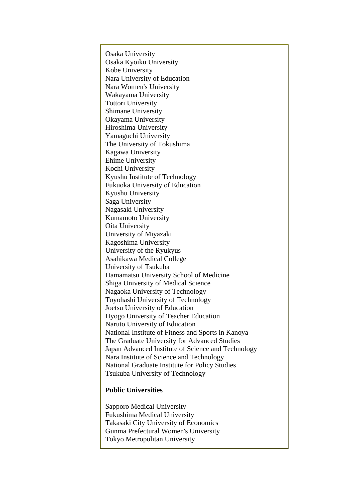Osaka University Osaka Kyoiku University Kobe University Nara University of Education Nara Women's University Wakayama University Tottori University Shimane University Okayama University Hiroshima University Yamaguchi University The University of Tokushima Kagawa University Ehime University Kochi University Kyushu Institute of Technology Fukuoka University of Education Kyushu University Saga University Nagasaki University Kumamoto University Oita University University of Miyazaki Kagoshima University University of the Ryukyus Asahikawa Medical College University of Tsukuba Hamamatsu University School of Medicine Shiga University of Medical Science Nagaoka University of Technology Toyohashi University of Technology Joetsu University of Education Hyogo University of Teacher Education Naruto University of Education National Institute of Fitness and Sports in Kanoya The Graduate University for Advanced Studies Japan Advanced Institute of Science and Technology Nara Institute of Science and Technology National Graduate Institute for Policy Studies Tsukuba University of Technology

# **Public Universities**

Sapporo Medical University Fukushima Medical University Takasaki City University of Economics Gunma Prefectural Women's University Tokyo Metropolitan University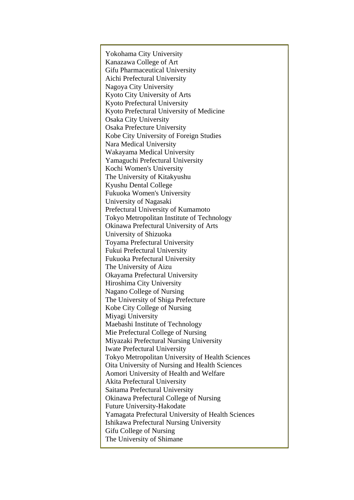Yokohama City University Kanazawa College of Art Gifu Pharmaceutical University Aichi Prefectural University Nagoya City University Kyoto City University of Arts Kyoto Prefectural University Kyoto Prefectural University of Medicine Osaka City University Osaka Prefecture University Kobe City University of Foreign Studies Nara Medical University Wakayama Medical University Yamaguchi Prefectural University Kochi Women's University The University of Kitakyushu Kyushu Dental College Fukuoka Women's University University of Nagasaki Prefectural University of Kumamoto Tokyo Metropolitan Institute of Technology Okinawa Prefectural University of Arts University of Shizuoka Toyama Prefectural University Fukui Prefectural University Fukuoka Prefectural University The University of Aizu Okayama Prefectural University Hiroshima City University Nagano College of Nursing The University of Shiga Prefecture Kobe City College of Nursing Miyagi University Maebashi Institute of Technology Mie Prefectural College of Nursing Miyazaki Prefectural Nursing University Iwate Prefectural University Tokyo Metropolitan University of Health Sciences Oita University of Nursing and Health Sciences Aomori University of Health and Welfare Akita Prefectural University Saitama Prefectural University Okinawa Prefectural College of Nursing Future University-Hakodate Yamagata Prefectural University of Health Sciences Ishikawa Prefectural Nursing University Gifu College of Nursing The University of Shimane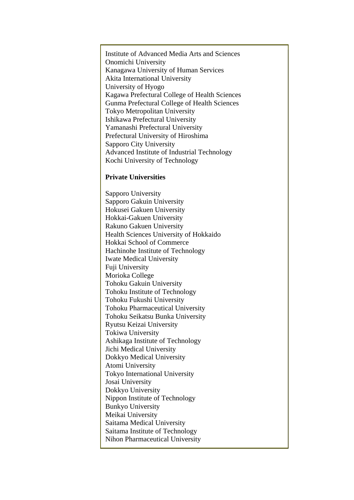Institute of Advanced Media Arts and Sciences Onomichi University Kanagawa University of Human Services Akita International University University of Hyogo Kagawa Prefectural College of Health Sciences Gunma Prefectural College of Health Sciences Tokyo Metropolitan University Ishikawa Prefectural University Yamanashi Prefectural University Prefectural University of Hiroshima Sapporo City University Advanced Institute of Industrial Technology Kochi University of Technology

## **Private Universities**

Sapporo University Sapporo Gakuin University Hokusei Gakuen University Hokkai-Gakuen University Rakuno Gakuen University Health Sciences University of Hokkaido Hokkai School of Commerce Hachinohe Institute of Technology Iwate Medical University Fuji University Morioka College Tohoku Gakuin University Tohoku Institute of Technology Tohoku Fukushi University Tohoku Pharmaceutical University Tohoku Seikatsu Bunka University Ryutsu Keizai University Tokiwa University Ashikaga Institute of Technology Jichi Medical University Dokkyo Medical University Atomi University Tokyo International University Josai University Dokkyo University Nippon Institute of Technology Bunkyo University Meikai University Saitama Medical University Saitama Institute of Technology Nihon Pharmaceutical University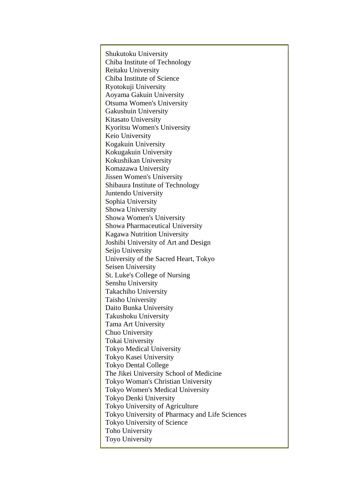Shukutoku University Chiba Institute of Technology Reitaku University Chiba Institute of Science Ryotokuji University Aoyama Gakuin University Otsuma Women's University Gakushuin University Kitasato University Kyoritsu Women's University Keio University Kogakuin University Kokugakuin University Kokushikan University Komazawa University Jissen Women's University Shibaura Institute of Technology Juntendo University Sophia University Showa University Showa Women's University Showa Pharmaceutical University Kagawa Nutrition University Joshibi University of Art and Design Seijo University University of the Sacred Heart, Tokyo Seisen University St. Luke's College of Nursing Senshu University Takachiho University Taisho University Daito Bunka University Takushoku University Tama Art University Chuo University Tokai University Tokyo Medical University Tokyo Kasei University Tokyo Dental College The Jikei University School of Medicine Tokyo Woman's Christian University Tokyo Women's Medical University Tokyo Denki University Tokyo University of Agriculture Tokyo University of Pharmacy and Life Sciences Tokyo University of Science Toho University Toyo University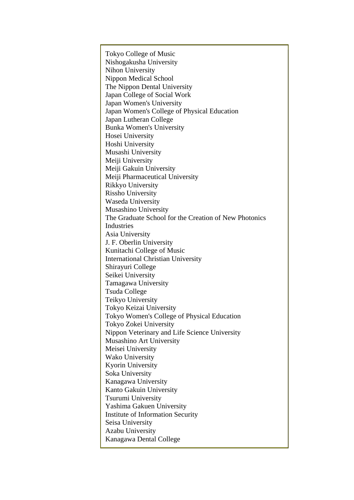Tokyo College of Music Nishogakusha University Nihon University Nippon Medical School The Nippon Dental University Japan College of Social Work Japan Women's University Japan Women's College of Physical Education Japan Lutheran College Bunka Women's University Hosei University Hoshi University Musashi University Meiji University Meiji Gakuin University Meiji Pharmaceutical University Rikkyo University Rissho University Waseda University Musashino University The Graduate School for the Creation of New Photonics Industries Asia University J. F. Oberlin University Kunitachi College of Music International Christian University Shirayuri College Seikei University Tamagawa University Tsuda College Teikyo University Tokyo Keizai University Tokyo Women's College of Physical Education Tokyo Zokei University Nippon Veterinary and Life Science University Musashino Art University Meisei University Wako University Kyorin University Soka University Kanagawa University Kanto Gakuin University Tsurumi University Yashima Gakuen University Institute of Information Security Seisa University Azabu University Kanagawa Dental College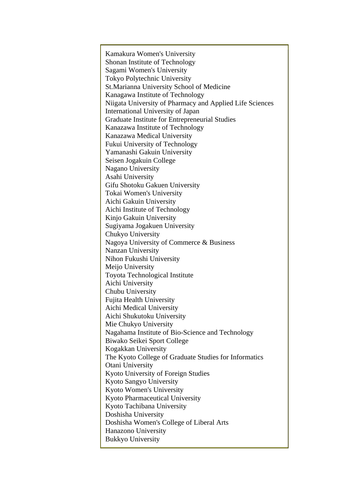Kamakura Women's University Shonan Institute of Technology Sagami Women's University Tokyo Polytechnic University St.Marianna University School of Medicine Kanagawa Institute of Technology Niigata University of Pharmacy and Applied Life Sciences International University of Japan Graduate Institute for Entrepreneurial Studies Kanazawa Institute of Technology Kanazawa Medical University Fukui University of Technology Yamanashi Gakuin University Seisen Jogakuin College Nagano University Asahi University Gifu Shotoku Gakuen University Tokai Women's University Aichi Gakuin University Aichi Institute of Technology Kinjo Gakuin University Sugiyama Jogakuen University Chukyo University Nagoya University of Commerce & Business Nanzan University Nihon Fukushi University Meijo University Toyota Technological Institute Aichi University Chubu University Fujita Health University Aichi Medical University Aichi Shukutoku University Mie Chukyo University Nagahama Institute of Bio-Science and Technology Biwako Seikei Sport College Kogakkan University The Kyoto College of Graduate Studies for Informatics Otani University Kyoto University of Foreign Studies Kyoto Sangyo University Kyoto Women's University Kyoto Pharmaceutical University Kyoto Tachibana University Doshisha University Doshisha Women's College of Liberal Arts Hanazono University Bukkyo University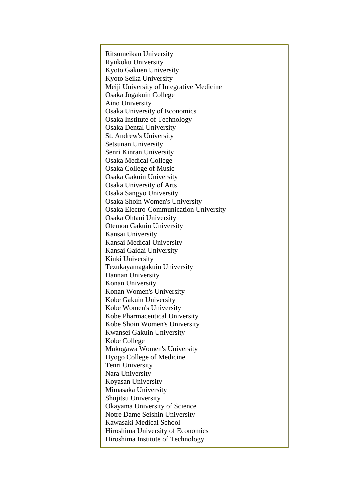Ritsumeikan University Ryukoku University Kyoto Gakuen University Kyoto Seika University Meiji University of Integrative Medicine Osaka Jogakuin College Aino University Osaka University of Economics Osaka Institute of Technology Osaka Dental University St. Andrew's University Setsunan University Senri Kinran University Osaka Medical College Osaka College of Music Osaka Gakuin University Osaka University of Arts Osaka Sangyo University Osaka Shoin Women's University Osaka Electro-Communication University Osaka Ohtani University Otemon Gakuin University Kansai University Kansai Medical University Kansai Gaidai University Kinki University Tezukayamagakuin University Hannan University Konan University Konan Women's University Kobe Gakuin University Kobe Women's University Kobe Pharmaceutical University Kobe Shoin Women's University Kwansei Gakuin University Kobe College Mukogawa Women's University Hyogo College of Medicine Tenri University Nara University Koyasan University Mimasaka University Shujitsu University Okayama University of Science Notre Dame Seishin University Kawasaki Medical School Hiroshima University of Economics Hiroshima Institute of Technology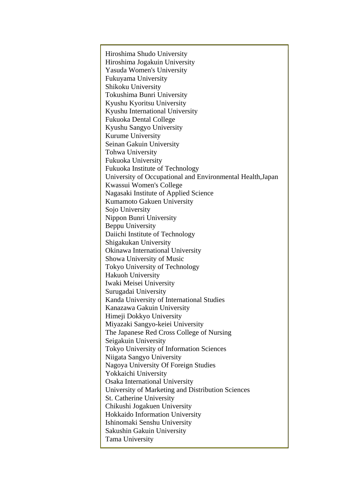Hiroshima Shudo University Hiroshima Jogakuin University Yasuda Women's University Fukuyama University Shikoku University Tokushima Bunri University Kyushu Kyoritsu University Kyushu International University Fukuoka Dental College Kyushu Sangyo University Kurume University Seinan Gakuin University Tohwa University Fukuoka University Fukuoka Institute of Technology University of Occupational and Environmental Health,Japan Kwassui Women's College Nagasaki Institute of Applied Science Kumamoto Gakuen University Sojo University Nippon Bunri University Beppu University Daiichi Institute of Technology Shigakukan University Okinawa International University Showa University of Music Tokyo University of Technology Hakuoh University Iwaki Meisei University Surugadai University Kanda University of International Studies Kanazawa Gakuin University Himeji Dokkyo University Miyazaki Sangyo-keiei University The Japanese Red Cross College of Nursing Seigakuin University Tokyo University of Information Sciences Niigata Sangyo University Nagoya University Of Foreign Studies Yokkaichi University Osaka International University University of Marketing and Distribution Sciences St. Catherine University Chikushi Jogakuen University Hokkaido Information University Ishinomaki Senshu University Sakushin Gakuin University Tama University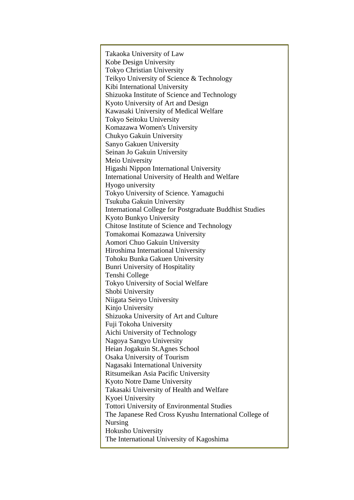Takaoka University of Law Kobe Design University Tokyo Christian University Teikyo University of Science & Technology Kibi International University Shizuoka Institute of Science and Technology Kyoto University of Art and Design Kawasaki University of Medical Welfare Tokyo Seitoku University Komazawa Women's University Chukyo Gakuin University Sanyo Gakuen University Seinan Jo Gakuin University Meio University Higashi Nippon International University International University of Health and Welfare Hyogo university Tokyo University of Science. Yamaguchi Tsukuba Gakuin University International College for Postgraduate Buddhist Studies Kyoto Bunkyo University Chitose Institute of Science and Technology Tomakomai Komazawa University Aomori Chuo Gakuin University Hiroshima International University Tohoku Bunka Gakuen University Bunri University of Hospitality Tenshi College Tokyo University of Social Welfare Shobi University Niigata Seiryo University Kinjo University Shizuoka University of Art and Culture Fuji Tokoha University Aichi University of Technology Nagoya Sangyo University Heian Jogakuin St.Agnes School Osaka University of Tourism Nagasaki International University Ritsumeikan Asia Pacific University Kyoto Notre Dame University Takasaki University of Health and Welfare Kyoei University Tottori University of Environmental Studies The Japanese Red Cross Kyushu International College of Nursing Hokusho University The International University of Kagoshima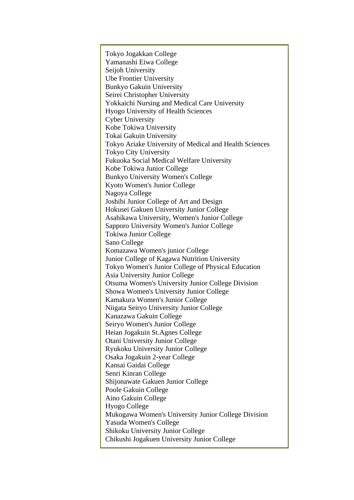Tokyo Jogakkan College Yamanashi Eiwa College Seijoh University Ube Frontier University Bunkyo Gakuin University Seirei Christopher University Yokkaichi Nursing and Medical Care University Hyogo University of Health Sciences Cyber University Kobe Tokiwa University Tokai Gakuin University Tokyo Ariake University of Medical and Health Sciences Tokyo City University Fukuoka Social Medical Welfare University Kobe Tokiwa Junior College Bunkyo University Women's College Kyoto Women's Junior College Nagoya College Joshibi Junior College of Art and Design Hokusei Gakuen University Junior College Asahikawa University, Women's Junior College Sapporo University Women's Junior College Tokiwa Junior College Sano College Komazawa Women's junior College Junior College of Kagawa Nutrition University Tokyo Women's Junior College of Physical Education Asia University Junior College Otsuma Women's University Junior College Division Showa Women's University Junior College Kamakura Women's Junior College Niigata Seiryo University Junior College Kanazawa Gakuin College Seiryo Women's Junior College Heian Jogakuin St.Agnes College Otani University Junior College Ryukoku University Junior College Osaka Jogakuin 2-year College Kansai Gaidai College Senri Kinran College Shijonawate Gakuen Junior College Poole Gakuin College Aino Gakuin College Hyogo College Mukogawa Women's University Junior College Division Yasuda Women's College Shikoku University Junior College Chikushi Jogakuen University Junior College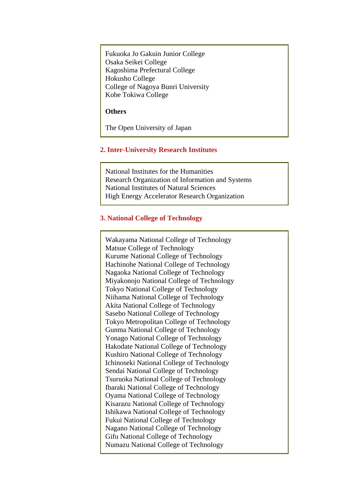Fukuoka Jo Gakuin Junior College Osaka Seikei College Kagoshima Prefectural College Hokusho College College of Nagoya Bunri University Kobe Tokiwa College

#### **Others**

The Open University of Japan

# **2. Inter-University Research Institutes**

National Institutes for the Humanities Research Organization of Information and Systems National Institutes of Natural Sciences High Energy Accelerator Research Organization

# **3. National College of Technology**

Wakayama National College of Technology Matsue College of Technology Kurume National College of Technology Hachinohe National College of Technology Nagaoka National College of Technology Miyakonojo National College of Technology Tokyo National College of Technology Niihama National College of Technology Akita National College of Technology Sasebo National College of Technology Tokyo Metropolitan College of Technology Gunma National College of Technology Yonago National College of Technology Hakodate National College of Technology Kushiro National College of Technology Ichinoseki National College of Technology Sendai National College of Technology Tsuruoka National College of Technology Ibaraki National College of Technology Oyama National College of Technology Kisarazu National College of Technology Ishikawa National College of Technology Fukui National College of Technology Nagano National College of Technology Gifu National College of Technology Numazu National College of Technology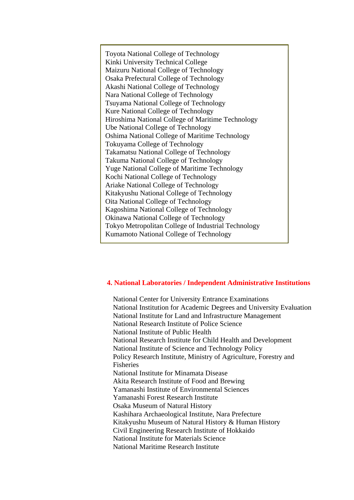Toyota National College of Technology Kinki University Technical College Maizuru National College of Technology Osaka Prefectural College of Technology Akashi National College of Technology Nara National College of Technology Tsuyama National College of Technology Kure National College of Technology Hiroshima National College of Maritime Technology Ube National College of Technology Oshima National College of Maritime Technology Tokuyama College of Technology Takamatsu National College of Technology Takuma National College of Technology Yuge National College of Maritime Technology Kochi National College of Technology Ariake National College of Technology Kitakyushu National College of Technology Oita National College of Technology Kagoshima National College of Technology Okinawa National College of Technology Tokyo Metropolitan College of Industrial Technology Kumamoto National College of Technology

## **4. National Laboratories / Independent Administrative Institutions**

National Center for University Entrance Examinations National Institution for Academic Degrees and University Evaluation National Institute for Land and Infrastructure Management National Research Institute of Police Science National Institute of Public Health National Research Institute for Child Health and Development National Institute of Science and Technology Policy Policy Research Institute, Ministry of Agriculture, Forestry and Fisheries National Institute for Minamata Disease Akita Research Institute of Food and Brewing Yamanashi Institute of Environmental Sciences Yamanashi Forest Research Institute Osaka Museum of Natural History Kashihara Archaeological Institute, Nara Prefecture Kitakyushu Museum of Natural History & Human History Civil Engineering Research Institute of Hokkaido National Institute for Materials Science National Maritime Research Institute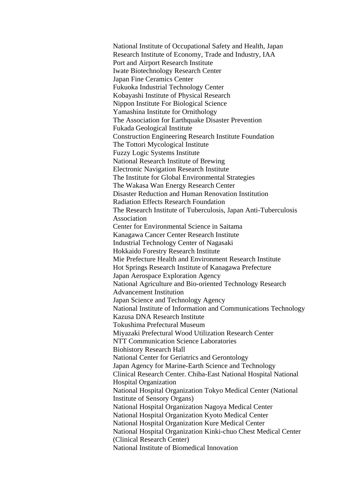National Institute of Occupational Safety and Health, Japan Research Institute of Economy, Trade and Industry, IAA Port and Airport Research Institute Iwate Biotechnology Research Center Japan Fine Ceramics Center Fukuoka Industrial Technology Center Kobayashi Institute of Physical Research Nippon Institute For Biological Science Yamashina Institute for Ornithology The Association for Earthquake Disaster Prevention Fukada Geological Institute Construction Engineering Research Institute Foundation The Tottori Mycological Institute Fuzzy Logic Systems Institute National Research Institute of Brewing Electronic Navigation Research Institute The Institute for Global Environmental Strategies The Wakasa Wan Energy Research Center Disaster Reduction and Human Renovation Institution Radiation Effects Research Foundation The Research Institute of Tuberculosis, Japan Anti-Tuberculosis Association Center for Environmental Science in Saitama Kanagawa Cancer Center Research Institute Industrial Technology Center of Nagasaki Hokkaido Forestry Research Institute Mie Prefecture Health and Environment Research Institute Hot Springs Research Institute of Kanagawa Prefecture Japan Aerospace Exploration Agency National Agriculture and Bio-oriented Technology Research Advancement Institution Japan Science and Technology Agency National Institute of Information and Communications Technology Kazusa DNA Research Institute Tokushima Prefectural Museum Miyazaki Prefectural Wood Utilization Research Center NTT Communication Science Laboratories Biohistory Research Hall National Center for Geriatrics and Gerontology Japan Agency for Marine-Earth Science and Technology Clinical Research Center. Chiba-East National Hospital National Hospital Organization National Hospital Organization Tokyo Medical Center (National Institute of Sensory Organs) National Hospital Organization Nagoya Medical Center National Hospital Organization Kyoto Medical Center National Hospital Organization Kure Medical Center National Hospital Organization Kinki-chuo Chest Medical Center (Clinical Research Center) National Institute of Biomedical Innovation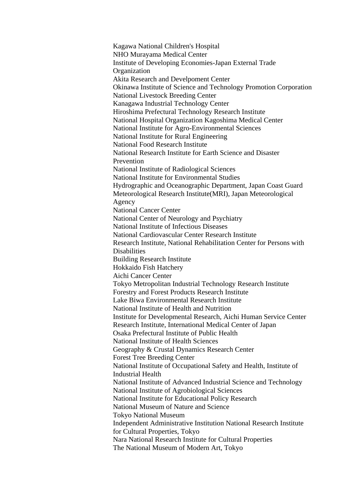Kagawa National Children's Hospital NHO Murayama Medical Center Institute of Developing Economies-Japan External Trade **Organization** Akita Research and Develpoment Center Okinawa Institute of Science and Technology Promotion Corporation National Livestock Breeding Center Kanagawa Industrial Technology Center Hiroshima Prefectural Technology Research Institute National Hospital Organization Kagoshima Medical Center National Institute for Agro-Environmental Sciences National Institute for Rural Engineering National Food Research Institute National Research Institute for Earth Science and Disaster Prevention National Institute of Radiological Sciences National Institute for Environmental Studies Hydrographic and Oceanographic Department, Japan Coast Guard Meteorological Research Institute(MRI), Japan Meteorological Agency National Cancer Center National Center of Neurology and Psychiatry National Institute of Infectious Diseases National Cardiovascular Center Research Institute Research Institute, National Rehabilitation Center for Persons with **Disabilities** Building Research Institute Hokkaido Fish Hatchery Aichi Cancer Center Tokyo Metropolitan Industrial Technology Research Institute Forestry and Forest Products Research Institute Lake Biwa Environmental Research Institute National Institute of Health and Nutrition Institute for Developmental Research, Aichi Human Service Center Research Institute, International Medical Center of Japan Osaka Prefectural Institute of Public Health National Institute of Health Sciences Geography & Crustal Dynamics Research Center Forest Tree Breeding Center National Institute of Occupational Safety and Health, Institute of Industrial Health National Institute of Advanced Industrial Science and Technology National Institute of Agrobiological Sciences National Institute for Educational Policy Research National Museum of Nature and Science Tokyo National Museum Independent Administrative Institution National Research Institute for Cultural Properties, Tokyo Nara National Research Institute for Cultural Properties The National Museum of Modern Art, Tokyo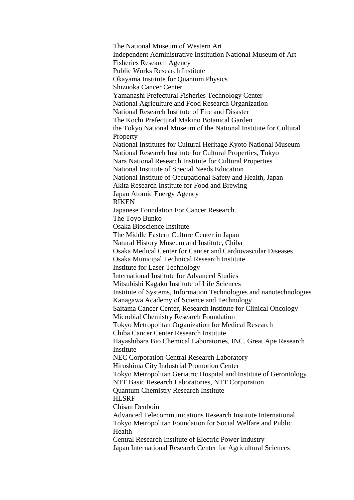The National Museum of Western Art Independent Administrative Institution National Museum of Art Fisheries Research Agency Public Works Research Institute Okayama Institute for Quantum Physics Shizuoka Cancer Center Yamanashi Prefectural Fisheries Technology Center National Agriculture and Food Research Organization National Research Institute of Fire and Disaster The Kochi Prefectural Makino Botanical Garden the Tokyo National Museum of the National Institute for Cultural **Property** National Institutes for Cultural Heritage Kyoto National Museum National Research Institute for Cultural Properties, Tokyo Nara National Research Institute for Cultural Properties National Institute of Special Needs Education National Institute of Occupational Safety and Health, Japan Akita Research Institute for Food and Brewing Japan Atomic Energy Agency RIKEN Japanese Foundation For Cancer Research The Toyo Bunko Osaka Bioscience Institute The Middle Eastern Culture Center in Japan Natural History Museum and Institute, Chiba Osaka Medical Center for Cancer and Cardiovascular Diseases Osaka Municipal Technical Research Institute Institute for Laser Technology International Institute for Advanced Studies Mitsubishi Kagaku Institute of Life Sciences Institute of Systems, Information Technologies and nanotechnologies Kanagawa Academy of Science and Technology Saitama Cancer Center, Research Institute for Clinical Oncology Microbial Chemistry Research Foundation Tokyo Metropolitan Organization for Medical Research Chiba Cancer Center Research Institute Hayashibara Bio Chemical Laboratories, INC. Great Ape Research Institute NEC Corporation Central Research Laboratory Hiroshima City Industrial Promotion Center Tokyo Metropolitan Geriatric Hospital and Institute of Gerontology NTT Basic Research Laboratories, NTT Corporation Quantum Chemistry Research Institute HLSRF Chisan Denboin Advanced Telecommunications Research Institute International Tokyo Metropolitan Foundation for Social Welfare and Public Health Central Research Institute of Electric Power Industry Japan International Research Center for Agricultural Sciences